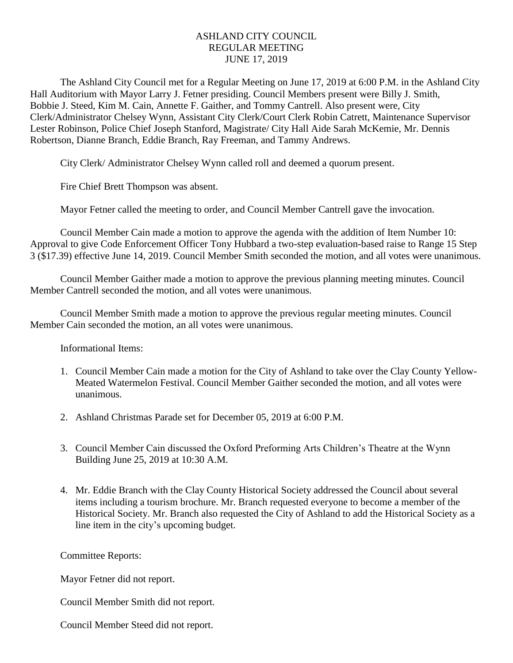## ASHLAND CITY COUNCIL REGULAR MEETING JUNE 17, 2019

The Ashland City Council met for a Regular Meeting on June 17, 2019 at 6:00 P.M. in the Ashland City Hall Auditorium with Mayor Larry J. Fetner presiding. Council Members present were Billy J. Smith, Bobbie J. Steed, Kim M. Cain, Annette F. Gaither, and Tommy Cantrell. Also present were, City Clerk/Administrator Chelsey Wynn, Assistant City Clerk/Court Clerk Robin Catrett, Maintenance Supervisor Lester Robinson, Police Chief Joseph Stanford, Magistrate/ City Hall Aide Sarah McKemie, Mr. Dennis Robertson, Dianne Branch, Eddie Branch, Ray Freeman, and Tammy Andrews.

City Clerk/ Administrator Chelsey Wynn called roll and deemed a quorum present.

Fire Chief Brett Thompson was absent.

Mayor Fetner called the meeting to order, and Council Member Cantrell gave the invocation.

Council Member Cain made a motion to approve the agenda with the addition of Item Number 10: Approval to give Code Enforcement Officer Tony Hubbard a two-step evaluation-based raise to Range 15 Step 3 (\$17.39) effective June 14, 2019. Council Member Smith seconded the motion, and all votes were unanimous.

Council Member Gaither made a motion to approve the previous planning meeting minutes. Council Member Cantrell seconded the motion, and all votes were unanimous.

Council Member Smith made a motion to approve the previous regular meeting minutes. Council Member Cain seconded the motion, an all votes were unanimous.

Informational Items:

- 1. Council Member Cain made a motion for the City of Ashland to take over the Clay County Yellow-Meated Watermelon Festival. Council Member Gaither seconded the motion, and all votes were unanimous.
- 2. Ashland Christmas Parade set for December 05, 2019 at 6:00 P.M.
- 3. Council Member Cain discussed the Oxford Preforming Arts Children's Theatre at the Wynn Building June 25, 2019 at 10:30 A.M.
- 4. Mr. Eddie Branch with the Clay County Historical Society addressed the Council about several items including a tourism brochure. Mr. Branch requested everyone to become a member of the Historical Society. Mr. Branch also requested the City of Ashland to add the Historical Society as a line item in the city's upcoming budget.

Committee Reports:

Mayor Fetner did not report.

Council Member Smith did not report.

Council Member Steed did not report.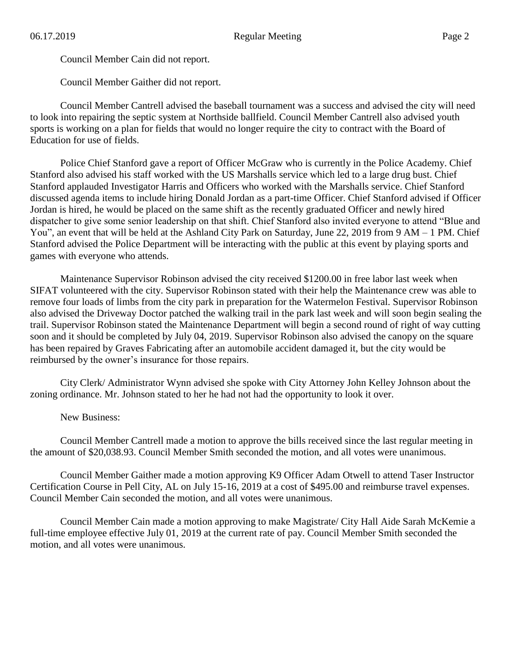Council Member Cain did not report.

Council Member Gaither did not report.

Council Member Cantrell advised the baseball tournament was a success and advised the city will need to look into repairing the septic system at Northside ballfield. Council Member Cantrell also advised youth sports is working on a plan for fields that would no longer require the city to contract with the Board of Education for use of fields.

Police Chief Stanford gave a report of Officer McGraw who is currently in the Police Academy. Chief Stanford also advised his staff worked with the US Marshalls service which led to a large drug bust. Chief Stanford applauded Investigator Harris and Officers who worked with the Marshalls service. Chief Stanford discussed agenda items to include hiring Donald Jordan as a part-time Officer. Chief Stanford advised if Officer Jordan is hired, he would be placed on the same shift as the recently graduated Officer and newly hired dispatcher to give some senior leadership on that shift. Chief Stanford also invited everyone to attend "Blue and You", an event that will be held at the Ashland City Park on Saturday, June 22, 2019 from 9 AM – 1 PM. Chief Stanford advised the Police Department will be interacting with the public at this event by playing sports and games with everyone who attends.

Maintenance Supervisor Robinson advised the city received \$1200.00 in free labor last week when SIFAT volunteered with the city. Supervisor Robinson stated with their help the Maintenance crew was able to remove four loads of limbs from the city park in preparation for the Watermelon Festival. Supervisor Robinson also advised the Driveway Doctor patched the walking trail in the park last week and will soon begin sealing the trail. Supervisor Robinson stated the Maintenance Department will begin a second round of right of way cutting soon and it should be completed by July 04, 2019. Supervisor Robinson also advised the canopy on the square has been repaired by Graves Fabricating after an automobile accident damaged it, but the city would be reimbursed by the owner's insurance for those repairs.

City Clerk/ Administrator Wynn advised she spoke with City Attorney John Kelley Johnson about the zoning ordinance. Mr. Johnson stated to her he had not had the opportunity to look it over.

New Business:

Council Member Cantrell made a motion to approve the bills received since the last regular meeting in the amount of \$20,038.93. Council Member Smith seconded the motion, and all votes were unanimous.

Council Member Gaither made a motion approving K9 Officer Adam Otwell to attend Taser Instructor Certification Course in Pell City, AL on July 15-16, 2019 at a cost of \$495.00 and reimburse travel expenses. Council Member Cain seconded the motion, and all votes were unanimous.

Council Member Cain made a motion approving to make Magistrate/ City Hall Aide Sarah McKemie a full-time employee effective July 01, 2019 at the current rate of pay. Council Member Smith seconded the motion, and all votes were unanimous.